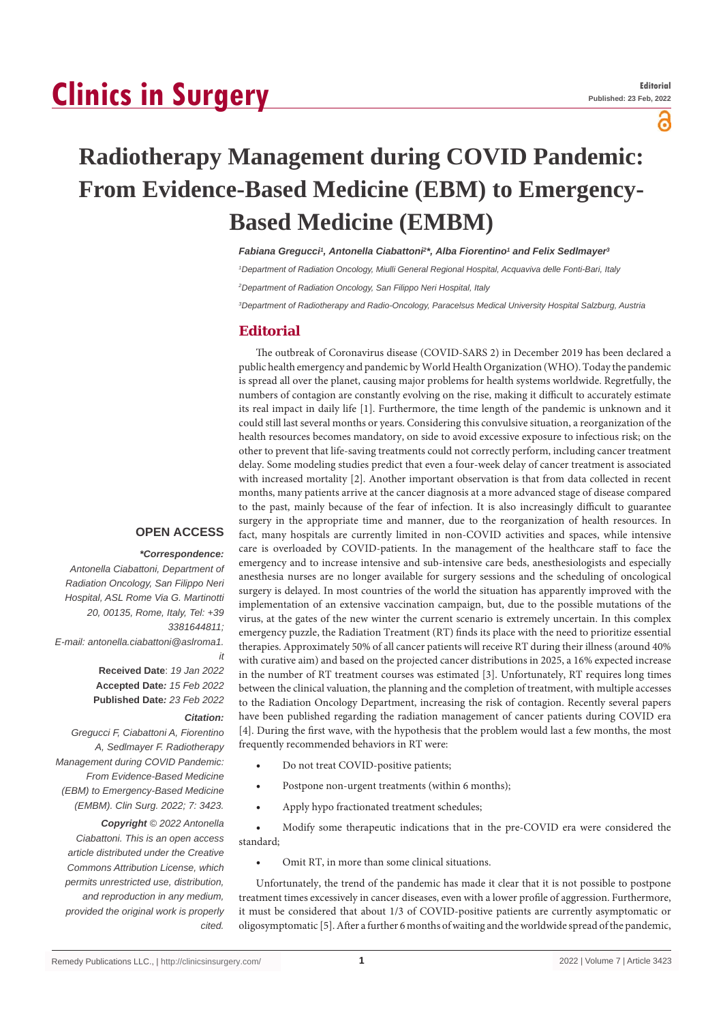# **Clinics in Surgery**

ခ

## **Radiotherapy Management during COVID Pandemic: From Evidence-Based Medicine (EBM) to Emergency-Based Medicine (EMBM)**

Fabiana Gregucci<sup>1</sup>, Antonella Ciabattoni<sup>2\*</sup>, Alba Fiorentino<sup>1</sup> and Felix Sedlmayer<sup>3</sup>

*1 Department of Radiation Oncology, Miulli General Regional Hospital, Acquaviva delle Fonti-Bari, Italy*

*2 Department of Radiation Oncology, San Filippo Neri Hospital, Italy*

*3 Department of Radiotherapy and Radio-Oncology, Paracelsus Medical University Hospital Salzburg, Austria*

## **Editorial**

The outbreak of Coronavirus disease (COVID-SARS 2) in December 2019 has been declared a public health emergency and pandemic by World Health Organization (WHO). Today the pandemic is spread all over the planet, causing major problems for health systems worldwide. Regretfully, the numbers of contagion are constantly evolving on the rise, making it difficult to accurately estimate its real impact in daily life [1]. Furthermore, the time length of the pandemic is unknown and it could still last several months or years. Considering this convulsive situation, a reorganization of the health resources becomes mandatory, on side to avoid excessive exposure to infectious risk; on the other to prevent that life-saving treatments could not correctly perform, including cancer treatment delay. Some modeling studies predict that even a four-week delay of cancer treatment is associated with increased mortality [2]. Another important observation is that from data collected in recent months, many patients arrive at the cancer diagnosis at a more advanced stage of disease compared to the past, mainly because of the fear of infection. It is also increasingly difficult to guarantee surgery in the appropriate time and manner, due to the reorganization of health resources. In fact, many hospitals are currently limited in non-COVID activities and spaces, while intensive care is overloaded by COVID-patients. In the management of the healthcare staff to face the emergency and to increase intensive and sub-intensive care beds, anesthesiologists and especially anesthesia nurses are no longer available for surgery sessions and the scheduling of oncological surgery is delayed. In most countries of the world the situation has apparently improved with the implementation of an extensive vaccination campaign, but, due to the possible mutations of the virus, at the gates of the new winter the current scenario is extremely uncertain. In this complex emergency puzzle, the Radiation Treatment (RT) finds its place with the need to prioritize essential therapies. Approximately 50% of all cancer patients will receive RT during their illness (around 40% with curative aim) and based on the projected cancer distributions in 2025, a 16% expected increase in the number of RT treatment courses was estimated [3]. Unfortunately, RT requires long times between the clinical valuation, the planning and the completion of treatment, with multiple accesses to the Radiation Oncology Department, increasing the risk of contagion. Recently several papers have been published regarding the radiation management of cancer patients during COVID era [4]. During the first wave, with the hypothesis that the problem would last a few months, the most frequently recommended behaviors in RT were:

- Do not treat COVID-positive patients;
- Postpone non-urgent treatments (within 6 months);
- Apply hypo fractionated treatment schedules;

Modify some therapeutic indications that in the pre-COVID era were considered the standard;

Omit RT, in more than some clinical situations.

Unfortunately, the trend of the pandemic has made it clear that it is not possible to postpone treatment times excessively in cancer diseases, even with a lower profile of aggression. Furthermore, it must be considered that about 1/3 of COVID-positive patients are currently asymptomatic or oligosymptomatic [5]. After a further 6 months of waiting and the worldwide spread of the pandemic,

## **OPEN ACCESS**

### *\*Correspondence:*

*Antonella Ciabattoni, Department of Radiation Oncology, San Filippo Neri Hospital, ASL Rome Via G. Martinotti 20, 00135, Rome, Italy, Tel: +39 3381644811; E-mail: antonella.ciabattoni@aslroma1. it*

> **Received Date**: *19 Jan 2022* **Accepted Date***: 15 Feb 2022* **Published Date***: 23 Feb 2022*

#### *Citation:*

*Gregucci F, Ciabattoni A, Fiorentino A, Sedlmayer F. Radiotherapy Management during COVID Pandemic: From Evidence-Based Medicine (EBM) to Emergency-Based Medicine (EMBM). Clin Surg. 2022; 7: 3423.*

*Copyright © 2022 Antonella Ciabattoni. This is an open access article distributed under the Creative Commons Attribution License, which permits unrestricted use, distribution, and reproduction in any medium, provided the original work is properly cited.*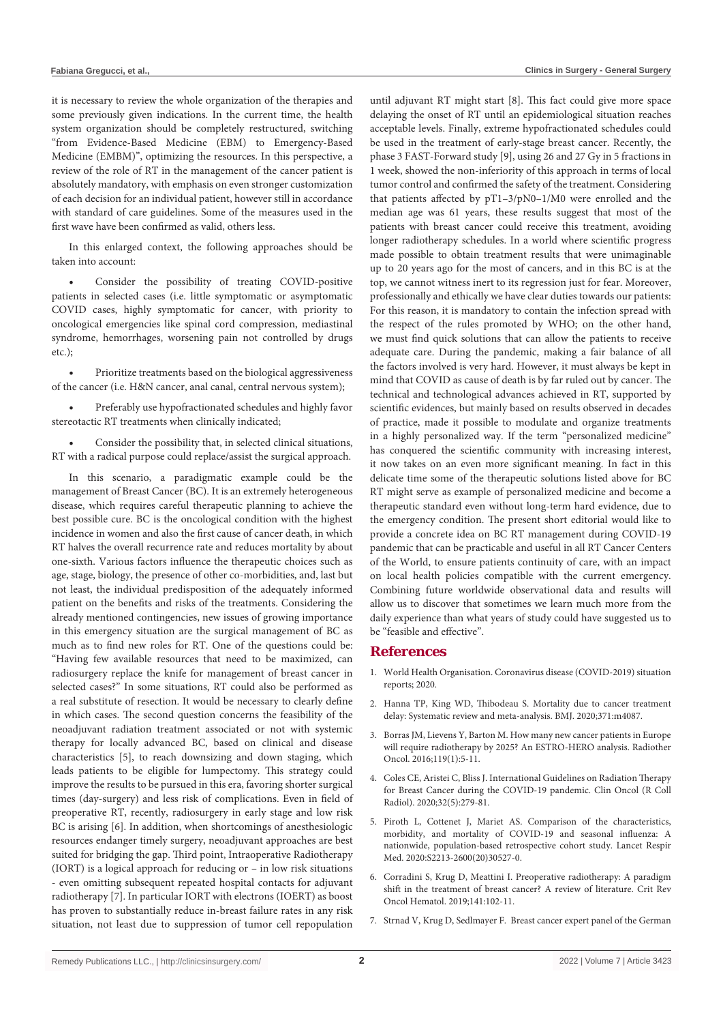it is necessary to review the whole organization of the therapies and some previously given indications. In the current time, the health system organization should be completely restructured, switching "from Evidence-Based Medicine (EBM) to Emergency-Based Medicine (EMBM)", optimizing the resources. In this perspective, a review of the role of RT in the management of the cancer patient is absolutely mandatory, with emphasis on even stronger customization of each decision for an individual patient, however still in accordance with standard of care guidelines. Some of the measures used in the first wave have been confirmed as valid, others less.

In this enlarged context, the following approaches should be taken into account:

Consider the possibility of treating COVID-positive patients in selected cases (i.e. little symptomatic or asymptomatic COVID cases, highly symptomatic for cancer, with priority to oncological emergencies like spinal cord compression, mediastinal syndrome, hemorrhages, worsening pain not controlled by drugs etc.);

Prioritize treatments based on the biological aggressiveness of the cancer (i.e. H&N cancer, anal canal, central nervous system);

Preferably use hypofractionated schedules and highly favor stereotactic RT treatments when clinically indicated;

Consider the possibility that, in selected clinical situations, RT with a radical purpose could replace/assist the surgical approach.

In this scenario, a paradigmatic example could be the management of Breast Cancer (BC). It is an extremely heterogeneous disease, which requires careful therapeutic planning to achieve the best possible cure. BC is the oncological condition with the highest incidence in women and also the first cause of cancer death, in which RT halves the overall recurrence rate and reduces mortality by about one-sixth. Various factors influence the therapeutic choices such as age, stage, biology, the presence of other co-morbidities, and, last but not least, the individual predisposition of the adequately informed patient on the benefits and risks of the treatments. Considering the already mentioned contingencies, new issues of growing importance in this emergency situation are the surgical management of BC as much as to find new roles for RT. One of the questions could be: "Having few available resources that need to be maximized, can radiosurgery replace the knife for management of breast cancer in selected cases?" In some situations, RT could also be performed as a real substitute of resection. It would be necessary to clearly define in which cases. The second question concerns the feasibility of the neoadjuvant radiation treatment associated or not with systemic therapy for locally advanced BC, based on clinical and disease characteristics [5], to reach downsizing and down staging, which leads patients to be eligible for lumpectomy. This strategy could improve the results to be pursued in this era, favoring shorter surgical times (day-surgery) and less risk of complications. Even in field of preoperative RT, recently, radiosurgery in early stage and low risk BC is arising [6]. In addition, when shortcomings of anesthesiologic resources endanger timely surgery, neoadjuvant approaches are best suited for bridging the gap. Third point, Intraoperative Radiotherapy (IORT) is a logical approach for reducing or – in low risk situations - even omitting subsequent repeated hospital contacts for adjuvant radiotherapy [7]. In particular IORT with electrons (IOERT) as boost has proven to substantially reduce in-breast failure rates in any risk situation, not least due to suppression of tumor cell repopulation

until adjuvant RT might start [8]. This fact could give more space delaying the onset of RT until an epidemiological situation reaches acceptable levels. Finally, extreme hypofractionated schedules could be used in the treatment of early-stage breast cancer. Recently, the phase 3 FAST-Forward study [9], using 26 and 27 Gy in 5 fractions in 1 week, showed the non-inferiority of this approach in terms of local tumor control and confirmed the safety of the treatment. Considering that patients affected by pT1–3/pN0–1/M0 were enrolled and the median age was 61 years, these results suggest that most of the patients with breast cancer could receive this treatment, avoiding longer radiotherapy schedules. In a world where scientific progress made possible to obtain treatment results that were unimaginable up to 20 years ago for the most of cancers, and in this BC is at the top, we cannot witness inert to its regression just for fear. Moreover, professionally and ethically we have clear duties towards our patients: For this reason, it is mandatory to contain the infection spread with the respect of the rules promoted by WHO; on the other hand, we must find quick solutions that can allow the patients to receive adequate care. During the pandemic, making a fair balance of all the factors involved is very hard. However, it must always be kept in mind that COVID as cause of death is by far ruled out by cancer. The technical and technological advances achieved in RT, supported by scientific evidences, but mainly based on results observed in decades of practice, made it possible to modulate and organize treatments in a highly personalized way. If the term "personalized medicine" has conquered the scientific community with increasing interest, it now takes on an even more significant meaning. In fact in this delicate time some of the therapeutic solutions listed above for BC RT might serve as example of personalized medicine and become a therapeutic standard even without long-term hard evidence, due to the emergency condition. The present short editorial would like to provide a concrete idea on BC RT management during COVID-19 pandemic that can be practicable and useful in all RT Cancer Centers of the World, to ensure patients continuity of care, with an impact on local health policies compatible with the current emergency. Combining future worldwide observational data and results will allow us to discover that sometimes we learn much more from the daily experience than what years of study could have suggested us to be "feasible and effective".

#### **References**

- 1. [World Health Organisation. Coronavirus disease \(COVID-2019\) situation](https://www.who.int/docs/default-source/coronaviruse/situation-reports/20200318-sitrep-58-covid-19.pdf?sfvrsn=20876712_2.)  [reports; 2020.](https://www.who.int/docs/default-source/coronaviruse/situation-reports/20200318-sitrep-58-covid-19.pdf?sfvrsn=20876712_2.)
- 2. [Hanna TP, King WD, Thibodeau S. Mortality due to cancer treatment](https://www.bmj.com/content/371/bmj.m4087)  [delay: Systematic review and meta-analysis. BMJ. 2020;371:m4087.](https://www.bmj.com/content/371/bmj.m4087)
- 3. [Borras JM, Lievens Y, Barton M. How many new cancer patients in Europe](https://pubmed.ncbi.nlm.nih.gov/26922487/)  [will require radiotherapy by 2025? An ESTRO-HERO analysis. Radiother](https://pubmed.ncbi.nlm.nih.gov/26922487/)  [Oncol. 2016;119\(1\):5-11.](https://pubmed.ncbi.nlm.nih.gov/26922487/)
- 4. [Coles CE, Aristei C, Bliss J. International Guidelines on Radiation Therapy](https://pubmed.ncbi.nlm.nih.gov/32241520/)  [for Breast Cancer during the COVID-19 pandemic. Clin Oncol \(R Coll](https://pubmed.ncbi.nlm.nih.gov/32241520/)  [Radiol\). 2020;32\(5\):279-81.](https://pubmed.ncbi.nlm.nih.gov/32241520/)
- 5. [Piroth L, Cottenet J, Mariet AS. Comparison of the characteristics,](https://www.thelancet.com/journals/lanres/article/PIIS2213-2600(20)30527-0/fulltext)  [morbidity, and mortality of COVID-19 and seasonal influenza: A](https://www.thelancet.com/journals/lanres/article/PIIS2213-2600(20)30527-0/fulltext)  [nationwide, population-based retrospective cohort study. Lancet Respir](https://www.thelancet.com/journals/lanres/article/PIIS2213-2600(20)30527-0/fulltext)  [Med. 2020:S2213-2600\(20\)30527-0.](https://www.thelancet.com/journals/lanres/article/PIIS2213-2600(20)30527-0/fulltext)
- 6. [Corradini S, Krug D, Meattini I. Preoperative radiotherapy: A paradigm](https://pubmed.ncbi.nlm.nih.gov/31272045/)  [shift in the treatment of breast cancer? A review of literature. Crit Rev](https://pubmed.ncbi.nlm.nih.gov/31272045/)  [Oncol Hematol. 2019;141:102-11.](https://pubmed.ncbi.nlm.nih.gov/31272045/)
- 7. [Strnad V, Krug D, Sedlmayer F. Breast cancer expert panel of the German](https://leitlinien.dgk.org/files/2015_Stellungnahme_leitlinie-der-degrodgk-zur-strahlentherapie.pdfhttps:/pubmed.ncbi.nlm.nih.gov/32350554/)